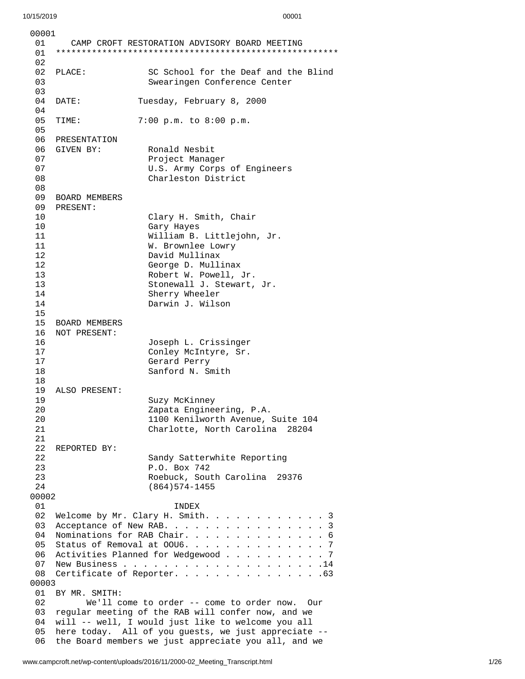| 00001       |                                      |                                                               |  |
|-------------|--------------------------------------|---------------------------------------------------------------|--|
| 01<br>01    |                                      | CAMP CROFT RESTORATION ADVISORY BOARD MEETING                 |  |
| 02          |                                      |                                                               |  |
| 02          | PLACE:                               | SC School for the Deaf and the Blind                          |  |
| 03<br>03    |                                      | Swearingen Conference Center                                  |  |
| 04          | DATE:                                | Tuesday, February 8, 2000                                     |  |
| 04<br>05    | TIME:                                | 7:00 p.m. to 8:00 p.m.                                        |  |
| 05<br>06    | PRESENTATION                         |                                                               |  |
| 06          | GIVEN BY:                            | Ronald Nesbit                                                 |  |
| 07          |                                      | Project Manager                                               |  |
| 07          |                                      | U.S. Army Corps of Engineers                                  |  |
| 08          |                                      | Charleston District                                           |  |
| 08          |                                      |                                                               |  |
| 09          | <b>BOARD MEMBERS</b>                 |                                                               |  |
| 09          | PRESENT:                             |                                                               |  |
| 10          |                                      | Clary H. Smith, Chair                                         |  |
| 10          |                                      | Gary Hayes                                                    |  |
| 11<br>11    |                                      | William B. Littlejohn, Jr.<br>W. Brownlee Lowry               |  |
| 12          |                                      | David Mullinax                                                |  |
| 12          |                                      | George D. Mullinax                                            |  |
| 13          |                                      | Robert W. Powell, Jr.                                         |  |
| 13          |                                      | Stonewall J. Stewart, Jr.                                     |  |
| 14          |                                      | Sherry Wheeler                                                |  |
| 14          |                                      | Darwin J. Wilson                                              |  |
| 15          |                                      |                                                               |  |
| 15          | <b>BOARD MEMBERS</b><br>NOT PRESENT: |                                                               |  |
| 16<br>16    |                                      | Joseph L. Crissinger                                          |  |
| 17          |                                      | Conley McIntyre, Sr.                                          |  |
| 17          |                                      | Gerard Perry                                                  |  |
| 18          |                                      | Sanford N. Smith                                              |  |
| 18          |                                      |                                                               |  |
| 19          | ALSO PRESENT:                        |                                                               |  |
| 19          |                                      | Suzy McKinney                                                 |  |
| 20          |                                      | Zapata Engineering, P.A.<br>1100 Kenilworth Avenue, Suite 104 |  |
| 20<br>21    |                                      | Charlotte, North Carolina 28204                               |  |
| 21          |                                      |                                                               |  |
| 22          | REPORTED BY:                         |                                                               |  |
| 22          |                                      | Sandy Satterwhite Reporting                                   |  |
| 23          |                                      | P.O. Box 742                                                  |  |
| 23          |                                      | Roebuck, South Carolina 29376                                 |  |
| 24<br>00002 |                                      | $(864)574 - 1455$                                             |  |
| 01          |                                      | <b>INDEX</b>                                                  |  |
| 02          |                                      | Welcome by Mr. Clary H. Smith.<br>3                           |  |
| 03          |                                      | Acceptance of New RAB.<br>3                                   |  |
| 04          | Nominations for RAB Chair. 6         |                                                               |  |
| 05          | Status of Removal at 00U6. 7         |                                                               |  |
| 06          | Activities Planned for Wedgewood 7   |                                                               |  |
| 07          |                                      |                                                               |  |
| 08          |                                      | Certificate of Reporter. 63                                   |  |
| 00003<br>01 | BY MR. SMITH:                        |                                                               |  |
| 02          |                                      | We'll come to order -- come to order now.<br>Our              |  |
| 03          |                                      | regular meeting of the RAB will confer now, and we            |  |
| 04          |                                      | will -- well, I would just like to welcome you all            |  |
| 05          |                                      | here today. All of you guests, we just appreciate --          |  |
| 06          |                                      | the Board members we just appreciate you all, and we          |  |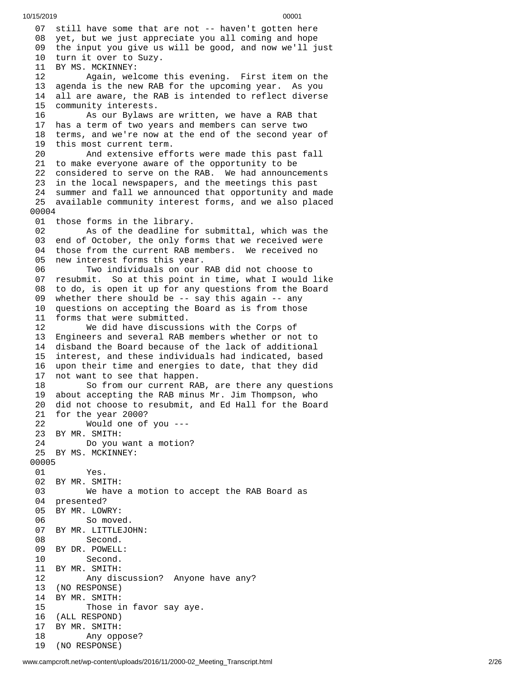07 still have some that are not -- haven't gotten here 08 yet, but we just appreciate you all coming and hope 09 the input you give us will be good, and now we'll just 10 turn it over to Suzy. 11 BY MS. MCKINNEY: 12 Again, welcome this evening. First item on the 13 agenda is the new RAB for the upcoming year. As you 1 4 all are aware, the RAB is intended to reflect diverse 1 5 community interests. 16 As our Bylaws are written, we have a RAB that 17 has a term of two years and members can serve two 18 terms, and we're now at the end of the second year of 19 this most current term. 20 And extensive eff o r t s w e r e m a d e t h i s p a s t f a l l 21 to make everyone aware of the opportunity to be 22 considered to serve on the RAB. We had announcements 23 in the local newspapers, and the meetings this past 24 summer and fall we announced that opportunity and made 25 available community interest forms, and we also placed 0 0 0 0 4 01 those forms in the library. 02 As of the deadline for submittal, which was the 03 end of October, the only forms that we received were 04 those from the current RAB members. We received no 05 new interest forms this year. 06 Two individuals on our RAB did not choose to 07 resubmit. So at this point in time, what I would like 08 to do, is open it up for any questions from the Board 0 9 whether there should be -- say this again -- any 10 questions on accepting the Board as is from those 11 forms that were submitted. 12 We did have discussi o n s w i t h t h e C o r p s o f 13 Engineers and several RAB members whether or not to 14 disband the Board because of the lack of additional 15 interest, and these individuals had indicated, based 16 upon their time and energies to date, that they did 1 7 not want to see that happen. 18 So from our current RAB, are there any questions 19 about accepting the RAB minus Mr. Jim Thompson, who 20 did not choose to resubmit, and Ed Hall for the Board 21 for the year 2000? 2 2 W o u l d o n e o f y o u - - - 23 BY MR. SMITH: 24 Do you want a motion? 25 BY MS. MCKINNEY: 00005 01 Yes. 02 BY MR. SMITH: 03 We have a motion to accept the RAB Board as 04 presented? 05 BY MR. LOWRY: 06 So move d. 07 BY MR. LITTLEJO H N: 08 Second. 09 BY DR. POWELL: 10 Second. 11 BY MR. SMITH: 12 Any discussion? Anyone have any? 13 (NO RESPONSE) 14 BY MR. SMITH: 15 Those i n f a v o r s a y a y e. 16 (ALL RESPOND) 17 BY MR. SMITH: 18 Any oppose? 19 (NO RESPONSE)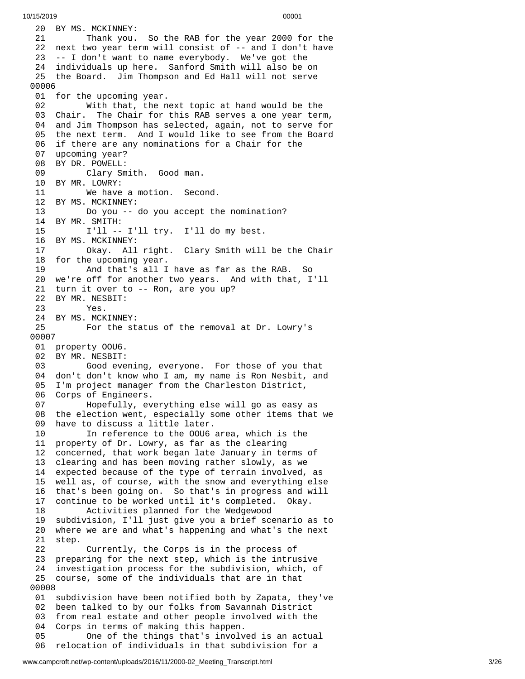20 BY MS. MCKINNEY: 21 Thank you. So the RAB for the year 2000 for the 22 next two year term will consist of -- and I don't have 23 -- I don't want to name everybody. We've got the 24 individuals up here. Sanford Smith will also be on 25 the Board. Jim Thompson and Ed Hall will not serve 0 0 0 0 6 01 for the upcoming year. 02 With that, the n e x t t o p i c a t h a n d w o u l d b e t h e 03 Chair. TI he Chair for this RAB serves a one year term, 04 and Jim Thompson has selected, again, not to serve for 05 the next term. And I would like to see from the Board 06 if there are any nominations for a Chair for the 07 upcoming year? 08 BY DR. POWELL: 09 Clary Sm i t h. G o o d m a n. 10 BY MR. LOWRY: 11 We have a motion. Seco n d. 12 BY MS. MCKINNEY: 13 Do you -- do you accept th e n o m i n a t i o n ? 14 BY MR. SMITH: 15 I'll -- I'll try. I'll do my best. 16 BY MS. MCKINNEY: 17 Okay. All right. Clary Smith will b e t h e C h a i r 18 for the upcoming year. 19 And that's all I h a v e a s f a r a s t h e R A B. S o 20 we're off for another two years. And with that, I'll 21 turn it over to -- Ron, are you up? 22 BY MR. NESBIT: 23 Yes. 24 BY MS. MCKINNE Y: 25 For the status of the removal at Dr. Lowry's 0 0 0 0 7 01 property 00U6. 02 BY MR. NESBIT: 03 Good evening, everyone. For those of you that 04 don't don't know who I am, my name is Ron Nesbit, and 0 5 I'm project manager from the Charleston District, 06 Corps of Engineers. 07 Hopefully, everything else will go as easy as 08 the election went, especially some other items that we 0 9 have to discuss a little later. 10 In reference to the OOU6 area, which is the 11 property of Dr. Lowry, as far as the clearing 12 concerned, that work began late January in terms of 13 clearing and has been moving rather slowly, as we 14 expected because of the type of terrain involved, as 15 well as, of course, with the snow and everything else 16 that's been going on. So that's in progress and will 17 continue to be worked until it's completed. Okay. 18 Activities planned for the Wedgewood 19 subdivision, I'll just give you a brief scenario a s t o 20 where we are and what's happening and what's the next 21 step. 22 Currently, the Corps is in the process of 23 preparing for the next step, which is the intrusive 24 investigation process for the subdivision, which, of 25 course, some of the individuals that are in that 0 0 0 0 8 01 subdivision have been notified both by Zapata, they've 02 been talked to by our folks from Savannah District 03 from real estate and other people involved with the 0 4 Corps in terms of making this happen. 05 One of the things that's involved is an actual 0 6 relocation of individuals in that subdivision for a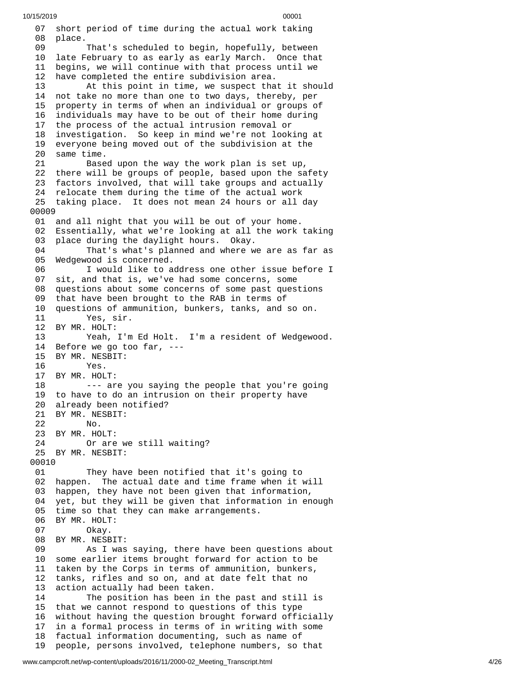0 7 short period of time during the actual work taking 08 place. 09 That's scheduled to begin, hopefully, between 10 late February to as early as early March. Once that 11 begins, we will continue with that process until we 1 2 have completed the entire subdivision area. 13 At this point in time, we suspect that it should 14 not take no more than one to two days, thereby, per 1 5 property in terms of when an individual or groups of 16 individuals may have to be out of their home during 17 the process of the actual intrusion removal or 18 investigation. So keep in mind we're not looking at 19 everyone being moved out of the subdivision at the 20 same time. 21 Based upon the way the work plan is set up, 22 there will be groups of people, based upon the safety 23 factors involved, that will take groups and actually 24 relocate them during the time of the actual work 25 taking place. It does not mean 24 hours or all day 0 0 0 0 9 01 and all night that you will be out of your home. 02 Essentially, what we're looking at all the work taking 0 3 place during the daylight hours. Okay. 04 That's what's planned and where we are as far as 05 Wedgewood is concerned. 06 I would like to address one other issue before I 07 sit, and that is, we've had some concerns, some 08 questions about some concerns of some past questions 09 that have been brought to the RAB in terms of 10 questions of ammunition, bunkers, tanks, and so on. 11 Yes, sir. 12 BY MR. HOLT: 13 Yeah, I'm Ed Holt. I'm a resident of Wedgewo o d. 14 Before we go too far, --- 15 BY MR. NESBIT: 16 Yes. 17 BY MR. HOLT: 18 --- are you saying the people that you're going 19 to have to do an intrusion on their property have 20 already been notified? 21 BY MR. NESBIT:<br>22 No. No. 23 BY MR. HOLT: 24 Or are we still waiting? 25 BY MR. NESBIT: 00010 01 They have been notified that it's going to 02 happen. The actual date and time frame when it will 03 happen, they have not been given that information, 04 yet, but they will be given that information in enough 05 time so that they can make arrangements. 06 BY MR. HOLT: 07 Okay. 08 BY MR. NESBIT: 09 As I was saying, there have been questions about 10 some earlier items brought forward for action to be 11 taken by the Corps in terms of ammunition, bunkers, 12 tanks, rifles and so on, and at date felt that no action actually had been taken. 14 The position has been in the past and still is 15 that we cannot respond to questions of this type 16 without having the question brought forward officially 17 in a formal process in terms of in writing with some 18 factual information documenting, such as name of 19 people, persons involved, telephone numbers, so that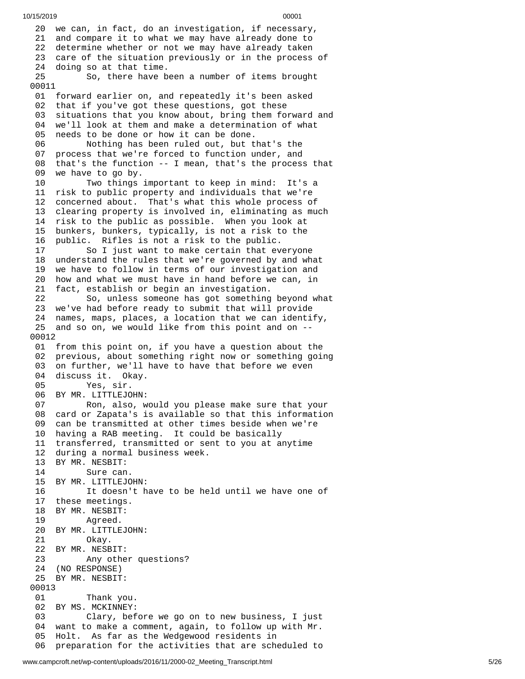20 we can, in fact, do an investigation, if necessary, 21 and compare it to what we may have already done to 22 determine whether or not we may have already taken 23 care of the situation previously or in the process of 24 doing so at that time. 25 So, there have b e e n a n u m b e r o f i t e m s b r o u g h t 00011 01 forward earlier on, and repeatedly it's been asked 02 that if you've got these questions, got these 03 situations that you know about, bring them forward and 0 4 we'll look at them and make a determination of what 05 needs to be done or how it can be done. 06 Nothing has been ruled out, but that's the 07 process that we're forced to function under, and 08 that's the function -- I mean, that's the process that 09 we have to go by. 10 Two things important to keep in mind: It's a 11 risk to public property and individuals that we're 12 concerned about. That's what this whole process of 13 clearing property is involved in, eliminating as much 14 risk to the public as possible. When you look at 15 bunkers, bunkers, typically, is not a risk to the 1 6 public. Rifles is not a risk to the public. 17 So I just want to make certain that everyone 18 understand the rules that we're governed by and what 19 we have to follow in terms of our investigation and 20 how and what we must have in hand before we can, in 21 fact, establish or begin an investigation. 22 So, unless someone has got something beyond what 23 we've had before ready to submit that will provide 24 names, maps, places, a location that we can identify, 25 and so on, we would like from this point and on --0 0 0 1 2 01 from this point on, if you have a question about the 02 previous, about something right now or something going 03 on further, we'll have to have that before we even 04 discuss it. Okay. 05 Yes, sir. 06 BY MR. LITTLEJOHN: 07 Ron, also, would you please make sure that your 08 card or Zapata's is available so that this information 09 can be transmitted at other times beside when we're 10 having a RAB meeting. It could be basically 11 transferred, transmitted or sent to you at anytime 12 during a normal business week. 13 BY MR. NESBIT: 14 Sure can. 15 BY MR. LITTLEJOHN: 16 It doesn't have to be held until we have one of 17 these meetings. 18 BY MR. NESBIT: 19 Agreed. 20 BY MR. LITTLEJO H N: 21 Okay. 22 BY MR. NESBIT: 23 Any other qu e s t i o n s ? 24 (NO RESPONSE) 25 BY MR. NESBIT: 00013 01 Thank yo u. 02 BY MS. MCKINNEY: 03 Clary, before we go on to new business, I just 04 want to make a comment, again, to follow up with Mr. 05 Holt. As far as the Wedgewood residents in 06 preparation for the activities that are scheduled to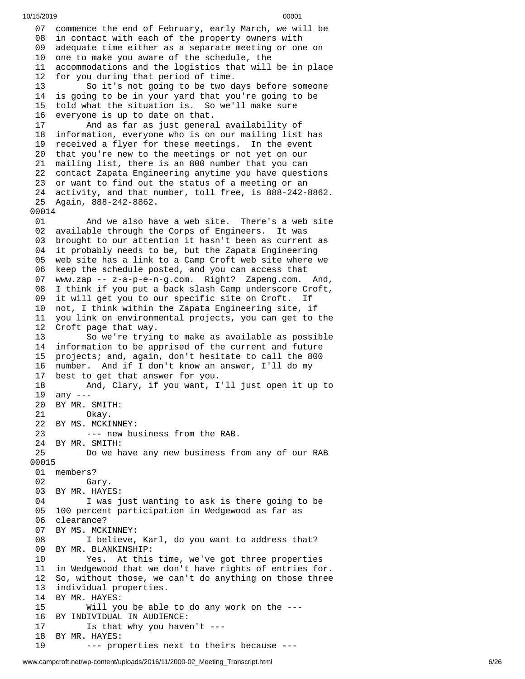07 commence the end of February, early March, we will be 08 in contact with each of the property owners with 09 adequate time either as a separate meeting or one on 10 one to make you aware of the schedule, the 1 accommodations and the logistics that will be in place 2 for you during that period of time. 13 So it's not going to be two days before someone 4 is going to be in your yard that you're going to be 5 told what the situation is. So we'll make sure 6 everyone is up to date on that. And as far as just genera l a v a i l a b i l i t y o f 8 information, everyone who is on our mailing list has 19 received a flyer for these meetings. In the event 20 that you're new to the meetings or not yet on our 1 mailing list, there is an 800 number that you can 22 contact Zapata Engineering anytime you have questions 23 or want to find out the status of a meeting or an 24 activity, and that number, toll free, is 888-242-8862. Again, 888-242-8862. And we also have a web site. There's a web site available through the Corps of Engineers. It was brought to our attention it hasn't been as current as it probably needs to be, but the Zapata Engineering web site has a link to a Camp Croft web site where we keep the schedule posted, and you can access that www.zap -- z-a-p-e-n-g.com. Right? Zapeng.com. And, 08 I think if you put a back slash Camp underscore Croft,<br>09 it will get you to our specific site on Croft. If it will get you to our specific site on Croft. If not, I think within the Zapata Engineering site, if you link on environmental projects, you can get to the Croft page that way. So we're trying to make as available as possible information to be apprised of the current and future projects; and, again, don't hesitate to call the 800 number. And if I don't know an answer, I'll do my best to get that answer for you. And, Clary, if you want, I'll just open it up to any --- BY MR. SMITH: Okay. BY MS. MCKINNEY: --- new business from the RAB. BY MR. SMITH: Do we have any new business from any of our RAB members? Gary. BY MR. HAYES: I was just wanting to ask is there going to be 100 percent participation in Wedgewood as far as clearance? BY MS. MCKINNEY: I believe, Karl, do you want to address that? BY MR. BLANKINSHIP: Yes. At this time, we've got three properties in Wedgewood that we don't have rights of entries for. So, without those, we can't do anything on those three individual properties. 14 BY MR. HAYES:<br>15 Will yo Will you be able to do any work on the  $--$  BY INDIVIDUAL IN AUDIENCE: Is that why you haven't --- BY MR. HAYES: --- properties next to theirs because ---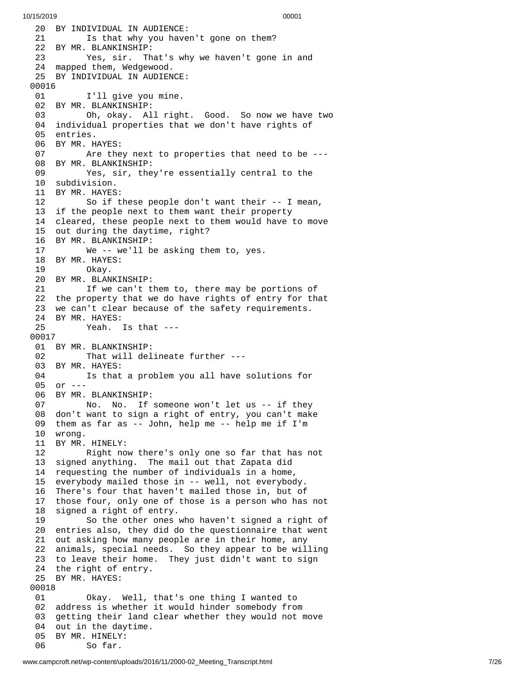20 BY INDIVIDUAL IN AUDIENCE: 21 Is that why you haven't gone on them? 22 BY MR. BLANKINSHIP: 23 Yes, sir. That's why we haven't gone in and 24 mapped them, Wedgewood. 25 BY INDIVIDUAL IN AUDIEN C E: 00016 01 I'll give you mine. 02 BY MR. BLANKINSHIP: 03 Oh, okay. All right. G o o d. S o n o w w e h a v e t w o 04 individual properties that we don't have rights of 05 entries. 06 BY MR. HAYES: 07 Are the y n e x t t o p r o p e r t i e s t h a t n e e d t o b e - - - 08 BY MR. BLANKINSHIP: 09 Yes, sir, they're essentially central to the 10 subdivision. 11 BY MR. HAYES:<br>12 So if t 12 So if these people don't want their -- I mean, 13 if the people next to them want their property 1 4 cleared, these people next to them would have to move 15 out during the daytime, right? 16 BY MR. BLANKINSHIP: 17 We -- we'll b e a s k i n g t h e m t o , y e s. 18 BY MR. HAYES: 19 Okay. 20 BY MR. BLANKINSHIP: 21 If we can't them to, there may be portions of 22 the property that we do have rights of entry for that 23 we can't clear because of the safety requirements. 24 BY MR. HAYES: 25 Yeah. Is that --- 0 0 0 1 7 01 BY MR. BLANKINSHIP: 02 That will delineate further ---03 BY MR. HAYES: 04 Is that a problem you all have solutions for 05 or ---06 BY MR. BLANKINSHIP: 07 No. No. If someone won't let us -- if they 08 don't want to sign a right of entry, you can't make 09 them as far as -- John, help me -- help me if I'm 1 0 w r o n g. 11 BY MR. HINELY: 12 Right now there's only one so far that has not 13 signed anything. The mail out that Zapata did 14 requesting the number of individuals in a home, 15 everybody mailed those in -- well, not everybody. 16 There's four that haven't mailed those in, but of 17 those four, only one of those is a person who has n o t 18 signed a right of entry. 19 So the other ones who haven't signed a right of 20 entries also, they did do the questionnaire that went 21 out asking how many people are in their home, any 22 animals, special needs. So they appear to be willing 23 to leave their home. They just didn't want to sign 24 the right of entry. 25 BY MR. HAYES: 00018 01 Okay. Well, t h a t's o n e t h i n g I w a n t e d t o 02 address is whether it would hinder somebody from 03 getting their land clear whether they would not move 04 out in the daytime. 05 BY MR. HINELY: 06 So far.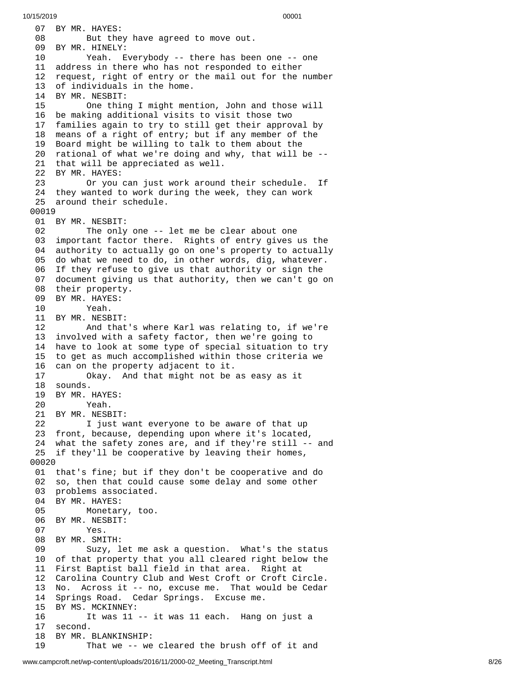07 BY MR. HAYES: 08 But they have agreed to move out. 09 BY MR. HINELY: 10 Yeah. Everybody -- there has been one -- one 11 address in there who has not responded to either 12 request, right of entry or the mail out for the number 13 of individuals in the home. 14 BY MR. NESBIT: 15 One thing I might men t i o n , J o h n a n d t h o s e w i l l 16 be making additional visits to visit those two 17 families again to try to still get their approval by 18 means of a right of entry; but if any member of the 19 Board might be willing to talk to them about the 20 rational of what we're doing and why, that will be --21 that will be appreciated as well. 22 BY MR. HAYES: 23 Or you can just work around t h e i r s c h e d u l e. I If 24 they wanted to work during the week, they can work 25 around their schedule. 00019 01 BY MR. NESBIT: 02 The only one -- let me be clear about one 03 important factor there. Rights of entry gives us the 04 authority to actually go on one's property to actually 05 do what we need to do, in other words, dig, whatever. 06 If they refuse to give us that authority or sign the 07 document giving us that authority, then we can't go o n 08 their property. 09 BY MR. HAYES: 10 Yeah. 11 BY MR. NESBIT: 12 And that's where Karl was relating to, if we're 13 involved with a safety factor, then we're going to 14 have to look at some type of special situation to try 15 to get as much accomplished within those criteria we 1 6 can on the property adjacent to it. 17 Okay. And that might not be a s e a s y a s i t 18 sounds. 19 BY MR. HAYES: 20 Yeah. 21 BY MR. NESBIT: 22 I just want everyone to be aware of that up 23 front, because, depending upon where it's located, 24 what the safety zones are, and if they're still -- and 25 if they'll be cooperative by leaving their homes, 0 0 0 2 0 01 that's fine; but if they don't be cooperative and do 02 so, then that could cause some delay and some other 03 problems associated. 04 BY MR. HAYES: 05 Monetary, too. 06 BY MR. NESBIT: 07 Yes. 08 BY MR. SMITH: 09 Suzy, let me ask a question. What's the status 10 of that property that you all cleared right below the 11 First Baptist ball field in that area. Right at 12 Carolina Country Club and West Croft or Croft Circle. 13 No. Across it -- no, excuse me. That would be Cedar 14 Springs Road. Cedar Springs. Excuse me. 15 BY MS. MCKINNEY: 16 It was 11 -- it was 11 each. Hang on just a 17 second. 18 BY MR. BLANKINSHIP: 19 That we -- we cleared the brush off of it and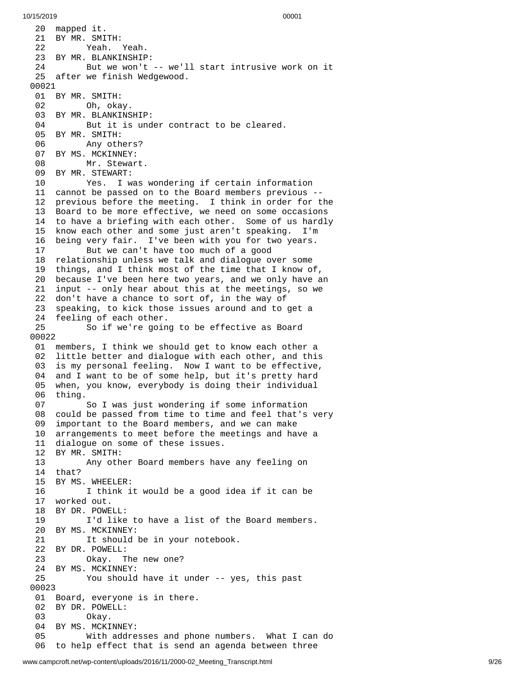10/15/2019 00001 20 mapped it. 21 BY MR. SMI T H: 22 Yeah. Y e a h. 23 BY MR. BLANKINSHIP: 24 But we won't -- we'll start intrusive work on it 25 after we finish Wedgewood. 00021 01 BY MR. SMITH: 02 Oh, okay. 03 BY MR. BLANKINSHIP: 04 But it is under contract to be cleared. 05 BY MR. SMITH: 06 Any others? 07 BY MS. MCKINNEY: 08 Mr. Stewart. 09 BY MR. STEWART: 10 Yes. I was wondering if certain information 11 cannot be passed on to the Board members previous --12 previous before the meeting. I think in order for the 13 Board to be more effective, we need on some occasions 14 to have a briefing with each other. Some of us hardly 1 5 know each other and some just aren't speaking. I'm 1 6 being very fair. I've been with you for two years. 17 But we can't have too much of a good 18 relationship unless we talk and dialogue over some 19 things, and I think most of the time that I know of , 20 because I've been here two years, and we only have an 21 input -- only hear about this at the meetings, so we 22 don't have a chance to sort of, in the way of 23 speaking, to kick those issues around and to get a 24 feeling of each other. 25 So if we're going to be effective as Board 0 0 0 2 2 01 members, I think we should get to know each other a 02 little better and dialogue with each other, and this 03 is my personal feeling. Now I want to be effective, 0 4 and I want to be of some help, but it's pretty hard 0 5 when, you know, everybody is doing their individual 06 thing. 07 So I was just wondering if some information 08 could be passed from time to time and feel that's very 0 9 important to the Board members, and we can make 1 0 arrangements to meet before the meetings and have a 11 dialogue on some of these issues. 12 BY MR. SMITH: 13 Any other Board members have any feeling on 1 4 t h a t ? 15 BY MS. WHEELER: 16 I think it would be a good idea if it can be 17 worked out. 18 BY DR. POWE L L: 19 I'd like to have a list of the Board members. 20 BY MS. MCKINNEY:<br>21 It should It should be in your notebook. 22 BY DR. POWELL: 23 Okay. The new one? 24 BY MS. MCKINNEY: 25 You should have it under -- yes, this past 0 0 0 2 3 01 Board, everyone is in there. 02 BY DR. POWELL: 03 Okay. 04 BY MS. MCKINNEY: 05 With addresses and pho n e n u m b e r s. W h a t I c a n d o 0 6 to help effect that is send an agenda between three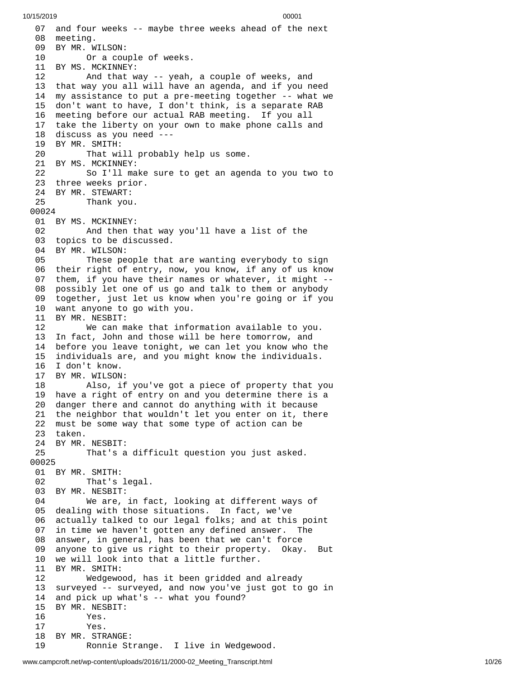07 and four weeks -- maybe three weeks ahead of the next 08 meeting. 09 BY MR. WILSON: 10 Or a cou p l e o f w e e k s. 11 BY MS. MCKINNEY: 12 And that way -- yeah, a c o u p l e o f w e e k s , a n d 13 that way you all will have an agenda, and if you need 1 4 my assistance to put a pre-meeting together -- what we 15 don't want to have, I don't think, is a separate RAB 16 meeting before our actual RAB meeting. If you all 17 take the liberty on your own to make phone calls and 18 discuss as you need ---19 BY MR. SMITH: 20 That will probably help us some. 21 BY MS. MCKINNEY: 22 So I'll make sure to get an agenda to you two to 23 three weeks prior. 24 BY MR. STEWART: Thank you. 00024 01 BY MS. MCKINNEY: 02 And then tha t w a y y o u'l l h a v e a l i s t o f t h e 03 topics to be discussed. 04 BY MR. WILSON: 05 These people that are wanting everybody to sign 06 their right of entry, now, you know, if any of us know 07 them, if you have their names or whatever, it might --08 possibly let one of us go and talk to them or anybody 09 together, just let us know when you're going or if you 10 want anyone to go with you. 11 BY MR. NESBIT: 12 We can make that info r m a t i o n a v a i l a b l e t o y o u. 13 In fact, John and those will be here tomorrow, and 14 before you leave tonight, we can let you know who th e 15 individuals are, and you might know the individuals. 16 I don't know. 17 BY MR. WILSON: 18 Also, if you've got a piece of property that y o u 19 have a right of entry on and you determine there is a 20 danger there and cannot do anything with it because 21 the neighbor that wouldn't let you enter on it, there 22 must be some way that some type of action can be 23 taken. 24 BY MR. NESBIT: 25 That's a difficult question you just asked. 00025 01 BY MR. SMITH: 02 That's legal. 03 BY MR. NESBIT: 04 We are, in fact, looking at different ways o f 05 dealing with those situations. In fact, we've 0 6 actually talked to our legal folks; and at this point 0 7 in time we haven't gotten any defined answer. The 0 8 answer, in general, has been that we can't force 0 9 anyone to give us right to their property. Okay. Bı u t 10 we will look into that a little further. 11 BY MR. SMITH: 12 Wedgewood, has it been gridded and already 13 surveyed -- surveyed, and now you've just got to go in 1 4 and pick up what's -- what you found? 15 BY MR. NESBIT: 16 Yes. 17 Yes. 18 BY MR. STRANGE: 19 Ronnie St r a n g e. I live in Wedgewood.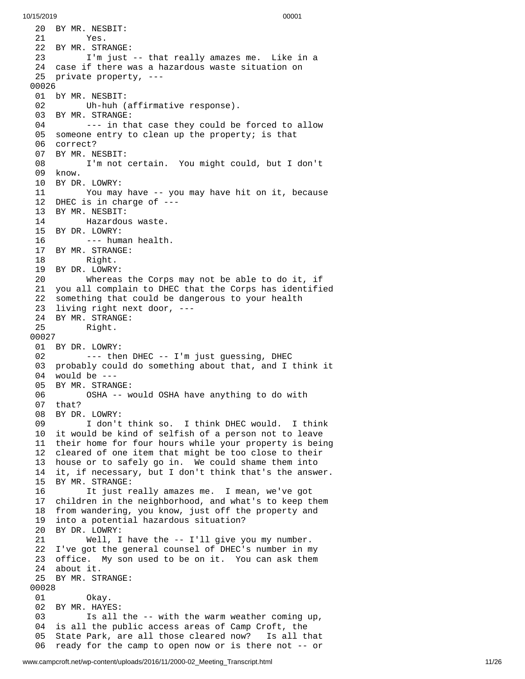20 BY MR. NESBIT: 21 Yes. 22 BY MR. STRANGE: 23 I'm just -- that really amazes me. Like in a 24 case if there was a hazardous waste situation on 25 private property, ---0 0 0 2 6 01 bY MR. NESBIT: 02 Uh-huh (affirmative response). 03 BY MR. STRANGE: 04 --- in that case they could be forced to allow 05 someone entry to clean up the property; is that 06 correct? 0 7 BY MR. NESBIT: 08 I'm not certain. You might could, but I don't 0 9 k n o w. 10 BY DR. L O W R Y: 11 You may have -- you may have hit on it, because 12 DHEC is in charge of ---13 BY MR. NESBIT: 14 Hazardou s w a s t e. 15 BY DR. LOWRY: --- human health. 17 BY MR. STRANGE: 18 Right. 19 BY DR. LOWRY: 20 Whereas the Corps m a y n o t b e a b l e t o d o i t , i f 21 you all complain to DHEC that the Corps has identified 22 something that could be dangerous to your health 23 living right next door, ---24 BY MR. STRANGE: 25 Right. 00027 01 BY DR. LOWRY: 02 --- then DHEC -- I'm just guessing, DHEC 0 3 probably could do something about that, and I think it 0 4 w o u l d b e - - - 05 BY MR. STRANGE: 06 OSHA -- w o u l d O S H A h a v e a n y t h i n g t o d o w i t h 07 that? 08 BY DR. LOWRY: 09 I don't think so. I think DHEC would. I think 10 it would be kind of selfish of a person not to leave 11 their home for four hours while your property is being 12 cleared of one item that might be too close to their 13 house or to safely go in. We could shame them into 14 it, if necessary, but I don't think that's the answer. 15 BY MR. STRANGE: 16 It just really amazes me. I mean, we've got 17 children in the neighborhood, and what's to keep them 18 from wandering, you know, just off the property and<br>19 into a potential hazardous situation? into a potential hazardous situation? 20 BY DR. LOWRY: 21 Well, I have the -- I'll give you my number. 22 I've got the general counsel of DHEC's number in my 23 office. My son used to be on it. You can ask them 24 about it. 25 BY MR. STRANGE: 00028 01 Okay. 02 BY MR. HAYES: 03 Is all the -- with the warm weather coming up, 04 is all the public access areas of Camp Croft, the 05 State Park, are all those cleared now? Is all that 06 ready for the camp to open now or is there not -- or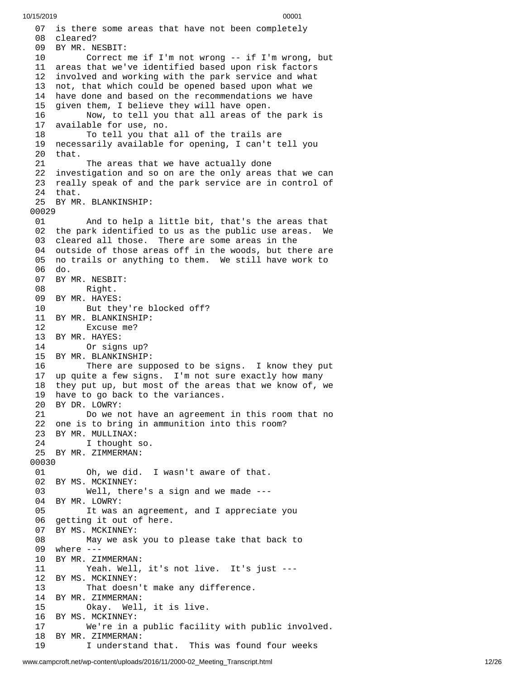07 is there some areas that have not been completely 08 cleared? 09 BY MR. NESBIT: 10 Correct me if I'm not wrong -- if I'm wrong, but 11 areas that we've identified based upon risk factors 1 2 involved and working with the park service and what 13 not, that which could be opened based upon what we 1 4 have done and based on the recommendations we have 1 5 given them, I believe they will have open. 16 Now, to tell you that all areas of t h e p a r k i s 1 7 available for use, no. 18 To tell you that all of the trails are 19 necessarily available for opening, I can't tell you 20 that. 21 The areas that we have actually done 22 investigation and so on are the only areas that we can 23 really speak of and the park service are in control of 2 4 t h a t. 25 BY MR. BLANKINSHIP: 00029 01 And to help a l i t t l e b i t , t h a t's t h e a r e a s t h a t 02 the park identified to us as the public use areas. We 03 cleared all those. There are some areas in the 04 outside of those areas off in the woods, but there are 05 no trails or anything to them. We still have work to 0 6 d o. 07 BY MR. NESBIT: 08 Right. 09 BY MR. HAYES: 10 But they're blocked off? 11 BY MR. BLANKINSHIP: 12 Excuse me? 13 BY MR. HAYES: 14 Or signs up? 15 BY MR. BLANKINSHIP: 16 There are supposed to be signs. I know they put 17 up quite a few signs. I'm not sure exactly how many 18 they put up, but most of the areas that we know of, we 19 have to go back to the variances. 20 BY DR. LOWRY: 21 Do we not have an agreement i n t h i s r o o m t h a t n o 22 one is to bring in ammunition into this room? 23 BY MR. MULLINAX: 24 I thought s o. 25 BY MR. ZIMMERMAN: 00030 01 Oh, we did. wasn't aware of that. 02 BY MS. MCKINNEY: 03 Well, there's a sign and we made --- 04 BY MR. LOWRY: 05 It was an agreement, and I appreciate you 0 6 getting it out of here. 07 BY MS. MCKINNEY: 08 May we ask you to p l e a s e t a k e t h a t b a c k t o 09 where ---10 BY MR. ZIMMERMAN: 11 Yeah. Well, it's not live. It's just ---12 BY MS. MCKINNEY: 13 That doesn't make any difference. 14 BY MR. ZIMMERMAN: Okay. Well, it is live. 16 BY MS. MCKINNEY: 17 We're in a public facility with p u b l i c i n v o l v e d. 18 BY MR. ZIMMERMAN: 19 I understand that. This was found four weeks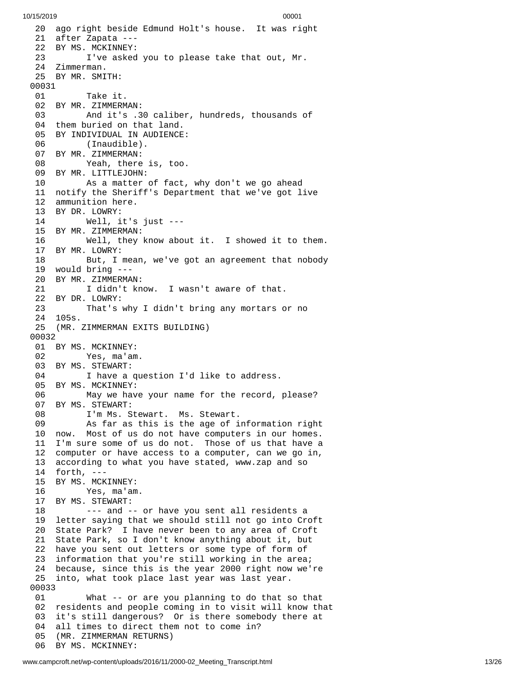20 ago right beside Edmund Holt's house. It was right 21 after Zapata ---22 BY MS. MCKINNEY: 23 I've asked you to please take that out, Mr. Zimmerman. BY MR. SMITH: Take it. BY MR. ZIMMERMAN: And it's .30 caliber, hundreds, thousands o f 04 them buried on that land. BY INDIVIDUAL IN AUDIENCE: (Inaudible). BY MR. ZIMMERMAN: Yeah, there is, too. BY MR. LITTLEJOHN: As a matter of fact, w h y d o n't w e g o a h e a d 11 notify the Sheriff's Department that we've got live 12 ammunition here. BY DR. LOWRY: Well, it's j u s t - - - 15 BY MR. ZIMMERMAN: Well, they k n o w a b o u t i t. I s h o w e d i t t o t h e m. BY MR. LOWRY: But, I mean, we've got an agreement that nobody would bring --- BY MR. ZIMMERMAN: I didn't know. I wasn't aware of that. BY DR. LOWRY: That's why I didn't bring any mortars or no 105s. (MR. ZIMMERMAN EXITS BUILDING) 0 0 3 2 01 BY MS. MCKINNEY: Yes, ma'am. BY MS. STEWART: 04 I have a question I'd like to address. BY MS. MCKINNEY: 06 May we have your name for the record, please? 07 BY MS. STEWART: 08 I'm Ms. Stewart. Ms. Stewart. 09 As far as this is the age of information right 10 now. Most of us do not have computers in our homes. I'm sure some of us do not. Those of us that have a computer or have access to a computer, can we go in, according to what you have stated, www.zap and so forth, --- BY MS. MCKINNEY: Yes, ma'am. BY MS. STEWART: --- and -- or have you sent all residents a letter saying that we should still not go into Croft State Park? I have never been to any area of Croft State Park, so I don't know anything about it, but have you sent out letters or some type of form of information that you're still working in the area; because, since this is the year 2000 right now we're into, what took place last year was last year. What -- or are you planning to do that so that 02 residents and people coming in to visit will know that 3 it's still dangerous? Or is there somebody there at 04 all times to direct them not to come in? 5 (MR. ZIMMERMAN RETURNS) 06 BY MS. MCKINNEY: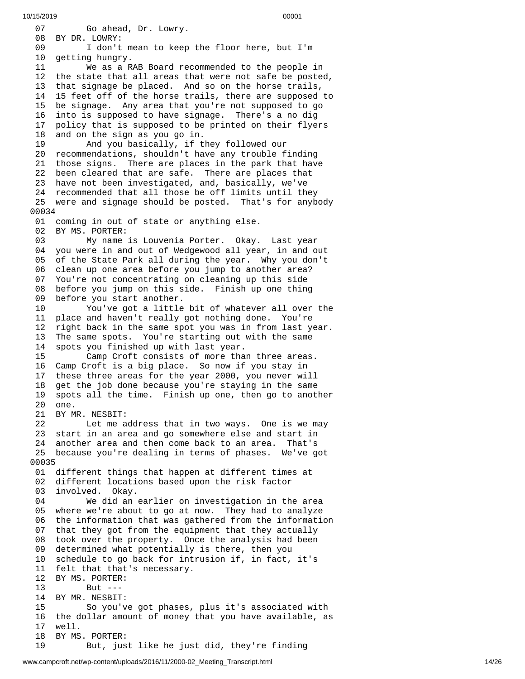0 7 Go ahead, Dr. Lowry. 08 BY DR. LOWRY: 09 I don't mean to keep the floor here, but I'm 1 0 getting hungry. 11 We as a RAB Board recommended to the people in 12 the state that all areas that were not safe be posted, 1 3 that signage be placed. And so on the horse trails, 1 4 15 feet off of the horse trails, there are supposed to 15 be signage. Any area that you're not supposed to go 1 6 into is supposed to have signage. There's a no dig 1 7 policy that is supposed to be printed on their flyers 1 8 and on the sign as you go in. 19 And you basically, if t h e y f o l l o w e d o u r 20 recommendations, shouldn't have any trouble finding 21 those signs. There are places in the park that have 22 been cleared that are safe. There are places that 23 have not been investigated, and, basically, we've 24 recommended that all those be off limits until they 25 were and signage should be posted. That's for anybody 0 0 0 3 4 01 coming in out of state or anything else. 02 BY MS. PORTER:<br>03 My name 03 My name is Louvenia Porter. Okay. Last year 04 you were in and out of Wedgewood all year, in and out 05 of the State Park all during the year. Why you don't 06 clean up one area before you jump to another area? 07 You're not concentrating on cleaning up this side 08 before you jump on this side. Finish up one thing 0 9 before you start another. 10 You've got a little bit of whatever all over the 11 place and haven't really got nothing done. You're 12 right back in the same spot you was in from last year. 13 The same spots. You're starting out with the same 14 spots you finished up with last year. 15 Camp Croft consists of more than three areas. 16 Camp Croft is a big place. So now if you stay in 17 these three areas for the year 2000, you never will 18 get the job done because you're staying in the same 19 spots all the time. Finish up one, then go to another 20 one. 21 BY MR. NESBIT: 22 Let me address that in two ways. One is we may 23 start in an area and go somewhere else and start in 24 another area and then come back to an area. That's 25 because you're dealing in terms of phases. We've got 0 0 0 3 5 01 different things that happen at different times at 02 different locations based upon the risk factor 03 involved. Okay. 04 We did an earlier on investigation in the area 05 where we're about to go at now. They had to analyze 0 6 the information that was gathered from the information 0 7 that they got from the equipment that they actually 0 8 took over the property. Once the analysis had been 0 9 determined what potentially is there, then you 10 schedule to go back for intrusion if, in fact, it's 11 felt that that's necessary. 12 BY MS. PORTER: 13 But --- 14 BY MR. NESBIT: 15 So you've got phases, plus it's associated with 16 the dollar amount of money that you have available, as 1 7 w e l l. 18 BY MS. PORTER: 19 But, just like he just did, they're finding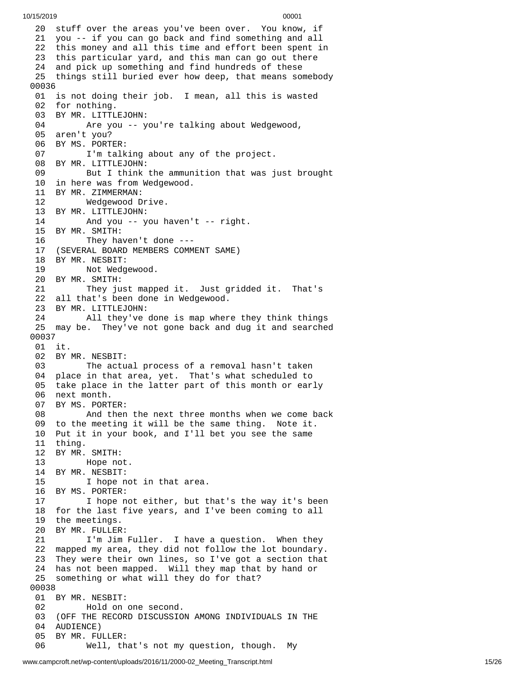20 stuff over the areas you've been over. You know, if 21 you -- if you can go back and find something and all 22 this money and all this time and effort been spent in 23 this particular yard, and this man can go out there 24 and pick up something and find hundreds of these 25 things still buried ever how deep, that means somebody 0 0 0 3 6 01 is not doing their job. I mean, all this is wasted 02 for nothing. 03 BY MR. LITTLEJOHN: 04 Are you -- y o u'r e t a l k i n g a b o u t W e d g e w o o d , 05 aren't you? 06 BY MS. PORTER: 07 I'm talking about any of the project. 08 BY MR. LITTLEJOHN: 09 But I think the ammunition that was just brought 10 in here was from Wedgewood. 11 BY MR. ZIMMERMAN: 12 Wedgewood Drive. 13 BY MR. LITTLEJOHN: 14 And you -- you haven't - - r i g h t. 15 BY MR. SMITH: They haven't done  $--$ 17 (SEVERAL BOARD MEMBERS COMMENT SAME) 18 BY MR. NESBIT: 19 Not Wedgewood. 20 BY MR. SMITH: 21 They just mapped it. Just gridded it. That's 22 all that's been done in Wedgewood. 23 BY MR. LITTLEJOHN: 24 All they've done is map wher e t h e y t h i n k t h i n g s 25 may be. They've not gone back and dug it and searched 0 0 0 3 7 01 it. 02 BY MR. NESBIT: 03 The actual process of a removal hasn't taken 04 place in that area, yet. That's what scheduled to 05 take place in the latter part of this month or early 06 next month. 07 BY MS. PORTER: 08 And then t h e n e x t t h r e e m o n t h s w h e n w e c o m e b a c k 09 to the meeting it will be the same thing. Note it. 10 Put it in your book, and I'll bet you see the same 11 thing. 12 BY MR. SMITH: Hope not. 14 BY MR. NESBIT: 15 I hope not in that area. 16 BY MS. PORTER: 17 I hope not either, but that's the way it's be e n 18 for the last five years, and I've been coming to all 19 the meetings. 20 BY MR. FULLER: 21 I'm Jim Fuller. I have a question. When they 22 mapped my area, they did not follow the lot boundary. 23 They were their own lines, so I've got a section that 24 has not been mapped. Will they map that by hand or 25 something or what will they do for that? 0 0 0 3 8 01 BY MR. NESBIT: 02 Hold on one second. 03 (OFF THE RECORD DISCUSSION AMONG INDIVIDUALS IN THE 04 AUDIENCE) 05 BY MR. FULLER: 06 Well, th a t's n o t m y q u e s t i o n , t h o u g h. M My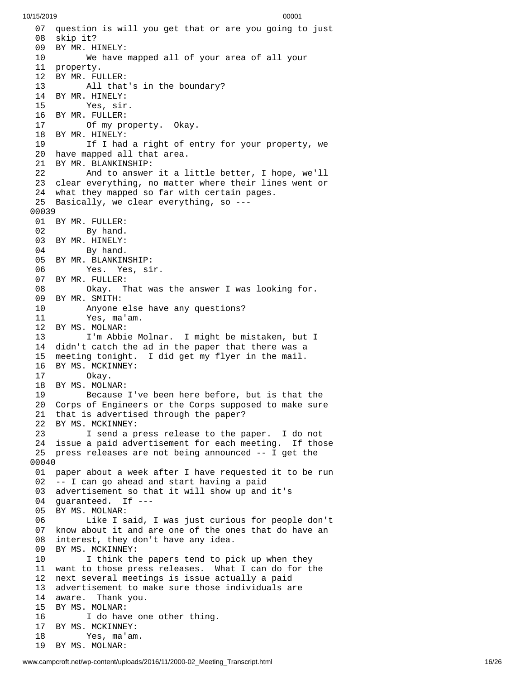07 question is will you get that or are you going to just 08 skip it? 09 BY MR. HINELY: 10 We have m a p p e d a l l o f y o u r a r e a o f a l l y o u r 11 property. 12 BY MR. FULLER: 13 All that's i n t h e b o u n d a r y ? 14 BY MR. HINELY: 15 Yes, sir. 16 BY MR. FULLER: 17 Of my pro p e r t y. O k a y. 18 BY MR. HINELY: 19 If I had a right of entry for your property, we 20 have mapped all that area. 21 BY MR. BLANKINSHIP: 22 And to answer it a l i t t l e b e t t e r , I h o p e , w e'l l 23 clear everything, no matter where their lines went or 24 what they mapped so far with certain pages. 25 Basically, we clear everything, so --- 0 0 0 3 9 01 BY MR. FULLER: 02 By hand. 03 BY MR. HINELY: 04 By hand. 05 BY MR. BLANKINSHIP: 06 Yes. Yes, si r. 07 BY MR. FULLER: 08 Okay. That was the answer I was looking for. 09 BY MR. SMITH: 10 Anyone else have any questions? 11 Yes, ma'am. 12 BY MS. MOLNAR: 13 I'm Abbie Molnar. I might be mistaken, but I 14 didn't catch the ad in the paper that there was a 15 meeting tonight. I did get my flyer in the mail. 16 BY MS. MCKINNEY: 17 Okay. 18 BY MS. MOLNAR:<br>19 Because 19 Because I've been here before, but is that th e 20 Corps of Engineers or the Corps supposed to make sure 21 that is advertised through the paper? 22 BY MS. MCKINNEY: 23 I send a press release to the paper. I do not 24 issue a paid advertisement for each meeting. If those 25 press releases are not being announced -- I get the 0 0 0 4 0 01 paper about a week after I have requested it to be run 02 -- I can go ahead and start having a paid 03 advertisement so that it will show up and it's 04 guaranteed. If ---05 BY MS. MOLNAR: 06 Like I said, I was just curious for people don't 07 know about it and are one of the ones that do have an 08 interest, they don't have any idea. 09 BY MS. MCKINNEY: 10 I think the papers tend to pick up when they 11 want to those press releases. What I can do for the 12 next several meetings is issue actually a paid 13 advertisement to make sure those individuals are 14 aware. Thank you. 15 BY MS. MOLNAR: 16 I do have one other thing. 17 BY MS. MCKINNEY: 18 Yes, ma'am. 19 BY MS. MOLNAR: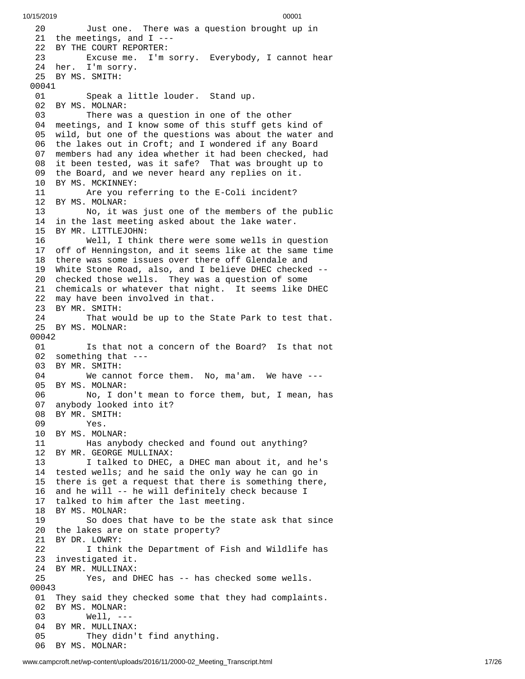2 0 Just one. There was a question brought up in 21 the meetings, and I ---22 BY THE COURT REPORTER: 23 Excuse me. I'm sorry. Everybody, I cannot hear 24 her. I'm sorry. 25 BY MS. SMITH: 00041 01 Speak a little louder. Stand up. 02 BY MS. MOLNAR: 03 There was a question in one of the other 04 meetings, and I know some of this stuff gets kind of 05 wild, but one of the questions was about the water and 06 the lakes out in Croft; and I wondered if any Board 0 7 members had any idea whether it had been checked, had 08 it been tested, was it safe? That was brought up to 09 the Board, and we never heard any replies on it. 10 BY MS. MCKINNEY: 11 Are you referring to the E-Coli incident? 12 BY MS. MOLNAR: 13 No, it was just one of the members of the p u b l i c 14 in the last meeting asked about the lake water. 15 BY MR. LITTLEJOHN: 16 Well, I think there were some wells in question 17 off of Henningston, and it seems like at the same time 18 there was some issues over there off Glendale and 19 White Stone Road, also, and I believe DHEC checked --20 checked those wells. They was a question of some 21 chemicals or whatever that night. It seems like DHEC 22 may have been involved in that. 23 BY MR. SMITH: 24 That would be up to the State Park to test that. 25 BY MS. MOLNAR: 00042 01 Is that not a concern of the Board? Is that not 02 something that --- 03 BY MR. SMITH: 04 We cannot force them. No, ma'am. We have --- 05 BY MS. MOLNAR:<br>06 No, I do No, I don't mean to force them, but, I mean, has 07 anybody looked into it? 08 BY MR. SMITH:<br>09 Yes. Yes. 10 BY MS. MOLNAR: 11 Has anybody checked and found out anything? 12 BY MR. GEORGE MULLINAX:<br>13 I talked to DHEC, I talked to DHEC, a DHEC man about it, and he's 14 tested wells; and he said the only way he can go in 15 there is get a request that there is something there, 16 and he will -- he will definitely check because I 17 talked to him after the last meeting. 18 BY MS. MOLNAR: 19 So does that have to be the state ask that since 20 the lakes are on state property? 21 BY DR. LOWRY: 22 I think the Department of Fish and Wildlife has 23 investigated it. 24 BY MR. MULLINAX: 25 Yes, and DHEC has -- has checked some wells. 00043 01 They said they checked some that they had complaints. 02 BY MS. MOLNAR: 03 Well, --- 04 BY MR. MULLINAX: 05 They didn't find anything. 06 BY MS. MOLNAR: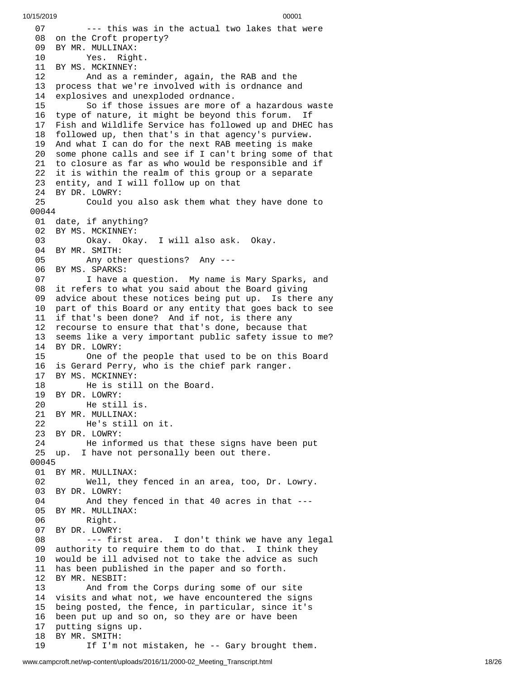0 7 --- this was in the actual two lakes that were 08 on the Croft property? 09 BY MR. MULLINAX: 10 Yes. Righ t. 11 BY MS. MCKINNEY: 12 And as a rem i n d e r , a g a i n , t h e R A B a n d t h e 1 3 process that we're involved with is ordnance and 14 explosives and unexploded ordnance. 15 So if those issues are more of a hazardous waste 16 type of nature, it might be beyond this forum. If 17 Fish and Wildlife Service has followed up and DHEC has 18 followed up, then that's in that agency's purview. 19 And what I can do for the next RAB meeting is make 20 some phone calls and see if I can't bring some of t h a t 21 to closure as far as who would be responsible and if 22 it is within the realm of this group or a separate 23 entity, and I will follow up on that 24 BY DR. LOWRY: 25 Could you also ask them what they have done to 0 0 0 4 4 01 date, if anything? 02 BY MS. MCKINNEY: 03 Okay. Oka y. I w i l l a l s o a s k. O k a y. 04 BY MR. SMITH: 05 Any other questions? Any --- 06 BY MS. SPARKS: 07 I have a question. My name is Mary Sparks, and 08 it refers to what you said about the Board giving 09 advice about these notices being put up. Is there any 10 part of this Board or any entity that goes back to see 11 if that's been done? And if not, is there any 12 recourse to ensure that that's done, because that 13 seems like a very important public safety issue to me? 1 4 B Y D R. L O W R Y: 15 One of the people that used to be on this Board 16 is Gerard Perry, who is the chief park ranger. 17 BY MS. MCKINNEY: 18 He is still on the Board. 19 BY DR. LOWRY: 20 He still is. 21 BY MR. MULLINAX: 22 He's still on it. 23 BY DR. LOWRY: 24 He informed us that these signs have bee n p u t 25 up. I have not personally been out there. 00045 01 BY MR. MULLINAX: 02 Well, they fenced in an area, too, Dr. Lowry. 03 BY DR. LOWRY: 04 And they fenced in that 40 acres in that --- 05 BY MR. MULLINAX: 06 Right. 07 BY DR. LOWRY: 08 --- first area. I don't think we have any legal 09 authority to require them to do that. I think they 10 would be ill advised not to take the advice as such 11 has been published in the paper and so forth. 12 BY MR. NESBIT: 13 And from the Corps during some of our s i t e 14 visits and what not, we have encountered the signs 15 being posted, the fence, in particular, since it's 1 6 been put up and so on, so they are or have been 1 7 putting signs up. 18 BY MR. SMITH: 19 If I'm not mistaken, he -- Gary brought them.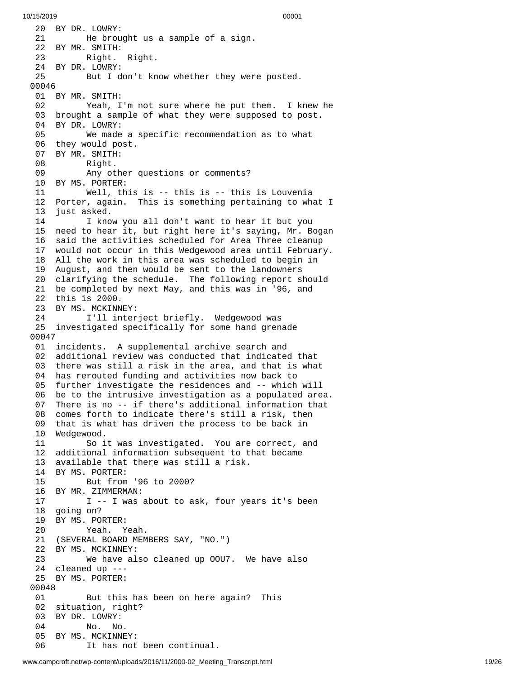20 BY DR. LOWRY: 21 He brought us a sample of a sign. BY MR. SMITH: Right. Right. BY DR. LOWRY: But I don't know whether they wer e p o s t e d. BY MR. SMITH: 02 Yeah, I'm not sure where he put them. I knew he 03 brought a sample of what they were supposed to post. BY DR. LOWRY: We made a specific recommendation as to what they would post. BY MR. SMITH: Right. Any other questions or comments? BY MS. PORTER: Well, this is -- this is -- this is Louvenia Porter, again. This is something pertaining to what I 13 just asked. 14 I know you all don't want to hear it but you 15 need to hear it, but right here it's saying, Mr. Bogan 16 said the activities scheduled for Area Three cleanup 7 would not occur in this Wedgewood area until February. All the work in this area was scheduled to begin in August, and then would be sent to the landowners clarifying the schedule. The following report should be completed by next May, and this was in '96, and this is 2000. 23 BY MS. MCKINNEY:<br>24 I'll inter I'll interject briefly. Wedgewood was investigated specifically for some hand grenade 0 0 4 7 01 incidents. A supplemental archive search and 02 additional review was conducted that indicated that 03 there was still a risk in the area, and that is what 04 has rerouted funding and activities now back to 05 further investigate the residences and -- which will 06 be to the intrusive investigation as a populated area. There is no -- if there's additional information that comes forth to indicate there's still a risk, then that is what has driven the process to be back in Wedgewood. So it was investigated. You are correct, and additional information subsequent to that became available that there was still a risk. BY MS. PORTER: But from '96 to 2000? BY MR. ZIMMERMAN: I -- I was about to ask, four years it's been going on? BY MS. PORTER: Yeah. Yeah. (SEVERAL BOARD MEMBERS SAY, "NO.") BY MS. MCKINNEY: We have also cleaned up OOU7. We have also cleaned up --- BY MS. PORTER: But this has been on here again? This situation, right? BY DR. LOWRY: No. No. BY MS. MCKINNEY: It has not been continual.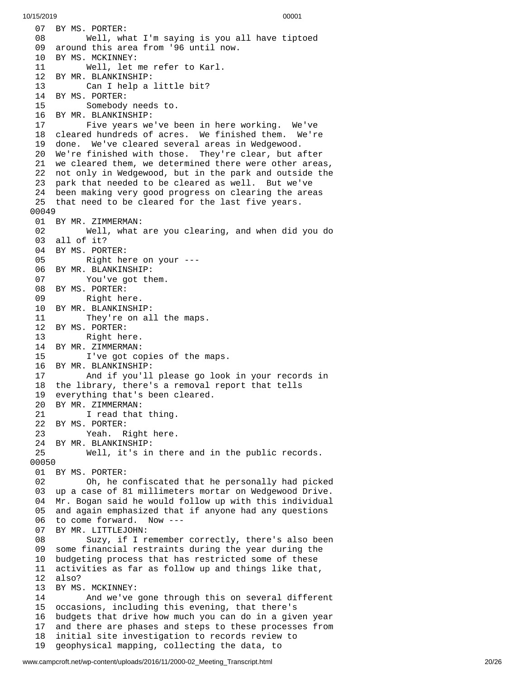07 BY MS. PORTER: Well, wh a t I'm s a y i n g i s y o u a l l h a v e t i p t o e d 09 around this area from '96 until now. BY MS. MCKINNEY: Well, let me refer to Karl. BY MR. BLANKINSHIP: Can I help a little bit? BY MS. PORTER: Somebody needs to. BY MR. BLANKINSHIP: 17 Five years we've been in here working. We've 18 cleared hundreds of acres. We finished them. We're 19 done. We've cleared several areas in Wedgewood. 20 We're finished with those. They're clear, but after 21 we cleared them, we determined there were other areas, 22 not only in Wedgewood, but in the park and outside the 23 park that needed to be cleared as well. But we've 24 been making very good progress on clearing the areas 25 that need to be cleared for the last five years. BY MR. ZIMMERMAN: Well, what are you clearing, and when did y o u d o 03 all of it? 04 BY MS. PORTER: Right he r e o n y o u r - - - 06 BY MR. BLANKINSHIP: You've got th e m. BY MS. PORTER: Right here. BY MR. BLANKINSHIP: They're on all t h e m a p s. BY MS. PORTER: Right here. BY MR. ZIMMERMAN: I've got copies of the m a p s. BY MR. BLANKINSHIP: And if you'll please go look i n y o u r r e c o r d s i n 18 the library, there's a removal report that tells 19 everything that's been cleared. BY MR. ZIMMERMAN: I read that thing. BY MS. PORTER: Yeah. Right here. 24 BY MR. BLANKINSHIP:<br>25 Well, it's in Well, it's in there and i n t h e p u b l i c r e c o r d s. BY MS. PORTER: Oh, he confiscated that he personally had pick e d 03 up a case of 81 millimeters mortar on Wedgewood Drive. Mr. Bogan said he would follow up with this individual and again emphasized that if anyone had any questions to come forward. Now --- BY MR. LITTLEJOHN: Suzy, if I remember correctly, there's also been some financial restraints during the year during the budgeting process that has restricted some of these activities as far as follow up and things like that, also? BY MS. MCKINNEY: And we've gone through this on several different occasions, including this evening, that there's budgets that drive how much you can do in a given year and there are phases and steps to these processes from initial site investigation to records review to geophysical mapping, collecting the data, to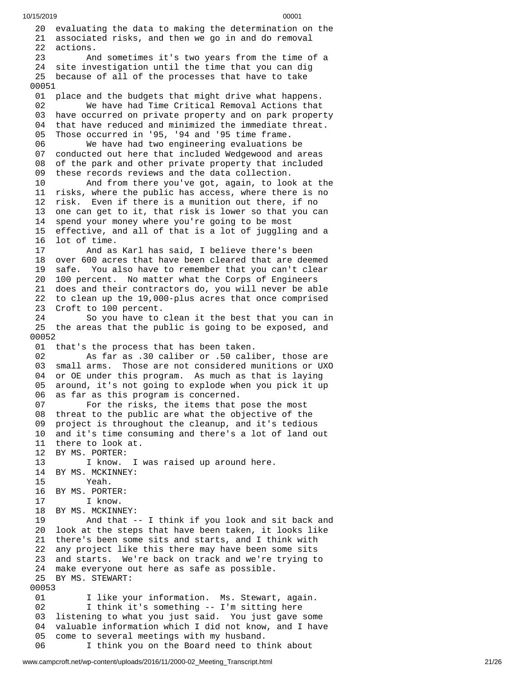20 evaluating the data to making the determination on the 21 associated risks, and then we go in and do removal 22 actions.  $23$ d sometimes it's two years from the time of a 24 site investigation until the time that you can dig 25 because of all of the processes that have to take 00051 01 place and the budgets that might drive what happens. 02 We have had Time Critical Removal Actions that 03 have occurred on private property and on park property 04 that have reduced and minimized the immediate threat. 05 Those occurred in '95, '94 and '95 time frame. 06 We have had two engineering evaluations be 07 conducted out here that included Wedgewood and areas 08 of the park and other private property that included 09 these records reviews and the data collection. 10 And from there you've got, again, to look at th e 11 risks, where the public has access, where there is no 12 risk. Even if there is a munition out there, if no 13 one can get to it, that risk is lower so that you can 1 4 spend your money where you're going to be most 15 effective, and all of that is a lot of juggling and a 16 lot of time. 17 And as K a r l h a s s a i d , I b e l i e v e t h e r e's b e e n 18 over 600 acres that have been cleared that are deemed 19 safe. You also have to remember that you can't clear 20 100 percent. No matter what the Corps of Engineers 21 does and their contractors do, you will never be able 22 to clean up the 19,000-plus acres that once comprised 23 Croft to 100 percent. 24 So you have to clean it the best that you can in 25 the areas that the public is going to be exposed, and 0 0 0 5 2 01 that's the process that has been taken. 02 As far as .30 caliber or .50 caliber, those are 03 small arms. Those are not considered munitions or UXO 04 or OE under this program. As much as that is laying 0 5 around, it's not going to explode when you pick it up 0 6 as far as this program is concerned. 07 For the risks, the items that pose the most 08 threat to the public are what the objective of the 09 project is throughout the cleanup, and it's tedious 10 and it's time consuming and there's a lot of land out 11 there to look at. 12 BY MS. PORTER:<br>13 I know. 13 I know. I was raised up around here. 14 BY MS. MCKINNEY: 15 Yeah. 16 BY MS. PORTER:<br>17 I know. I know. 18 BY MS. MCKINNEY: 19 And that -- I think if you look and sit back and 2 0 look at the steps that have been taken, it looks like 21 there's been some sits and starts, and I think with 2 2 any project like this there may have been some sits 23 and starts. We're back on track and we're trying to 24 make everyone out here as safe as possible. 25 BY MS. STEWART: 00053 01 I like your information. Ms. Stewart, again. 02 I think it's something -- I'm sitting here 03 listening to what you just said. You just gave som e 04 valuable information which I did not know, and I have 0 5 come to several meetings with my husband. 06 I think you on the Board need to think about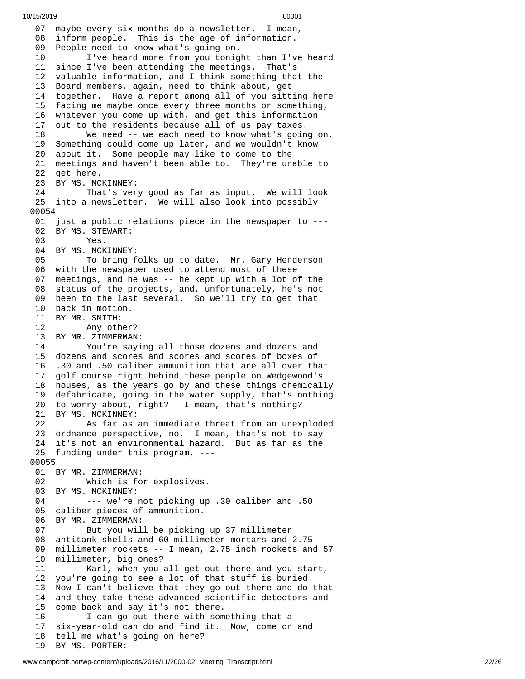0 7 maybe every six months do a newsletter. I mean, 08 inform people. This is the age of information. 09 People need to know what's going on. 10 I've heard more from you tonight than I've heard 11 since I've been attending the meetings. That's 12 valuable information, and I think something that the 13 Board members, again, need to think about, get 14 together. Have a report among all of you sitting here 15 facing me maybe once every three months or something, 16 whatever you come up with, and get this information 1 7 out to the residents because all of us pay taxes. 18 We need -- we each need to know what's goin g o n. 19 Something could come up later, and we wouldn't know 20 about it. Some people may like to come to the 21 meetings and haven't been able to. They're unable to 22 get here. 23 BY MS. MCKINNEY: 24 That's very good as far as input. We will look 25 into a newsletter. We will also look into possibly 0 0 0 5 4 01 just a public relations piece in the newspaper to ---02 BY MS. STEWART: 03 Yes. 04 BY MS. MCKINNEY: 05 To bring folks up to date. Mr. Gary Henderson 06 with the newspaper used to attend most of these 07 meetings, and he was -- he kept up with a lot of the 08 status of the projects, and, unfortunately, he's not 09 been to the last several. So we'll try to get that 10 back in motion. 11 BY MR. SMITH: 12 Any other ? 13 BY MR. ZIMMERMAN: 14 You're saying all those dozens and dozens and 15 dozens and scores and scores and scores of boxes of 16 6 .30 and .50 caliber ammunition that are all over that 1 7 golf course right behind these people on Wedgewood's 18 houses, as the years go by and these things chemically 19 defabricate, going in the water supply, that's nothing 20 to worry about, right? I mean, that's nothing? 21 BY MS. MCKINNEY: 22 As far as a n i m m e d i a t e t h r e a t f r o m a n u n e x p l o d e d 23 ordnance perspective, no. I mean, that's not to say 24 it's not an environmental hazard. But as far as the 25 funding under this program, ---0 0 0 5 5 01 BY MR. ZIMMERMAN: 02 Which is fo r e x p l o s i v e s. 03 BY MS. MCKINNEY: 04 --- we're not picking up .30 caliber and .50 05 caliber pieces of ammunition. 06 BY MR. ZIMMERMAN: 07 But you will be picking u p 3 7 m i l l i m e t e r 0 8 a n t i t a n k s h e l l s a n d 6 0 m i l l i m e t e r m o r t a r s a n d 2.7 5 0 9 millimeter rockets -- I mean, 2.75 inch rockets and 57 1 0 millimeter, big ones? 1 1 Karl, when you all get out there and you start, 1 2 you're going to see a lot of that stuff is buried. 13 Now I can't believe that they go out there and do t h a t 1 4 and they take these advanced scientific detectors and 1 5 come back and say it's not there. 16 I can go out there with something that a 1 7 six-year-old can do and find it. Now, come on and 18 tell me what's going on here? 1 9 BY MS. PORTER: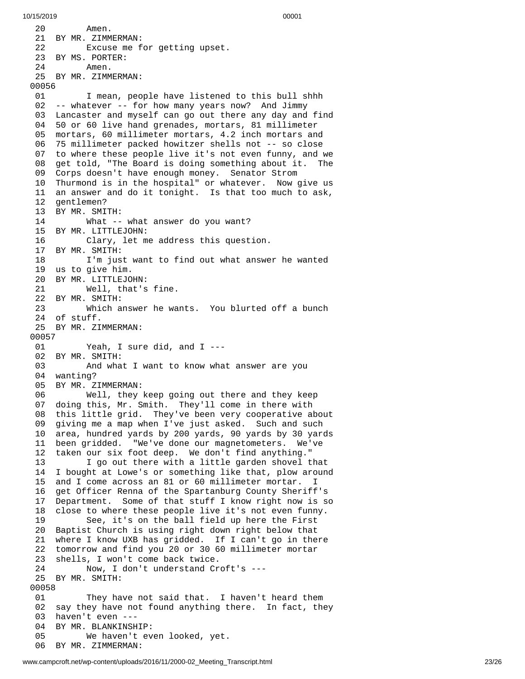2 0 Amen. 21 BY MR. ZIMMERMAN: 22 Excuse me for getting upset. 23 BY MS. PORTER: 24 Amen. 25 BY MR. ZIMMERMAN: 00056 01 I mean, people have listened to this bull shhh 02 -- whatever -- for how many years now? And Jimmy 03 Lancaster and myself can go out there any day and find 04 50 or 60 live hand grenades, mortars, 81 millimeter 05 mortars, 60 millimeter mortars, 4.2 inch mortars and 0 6 75 millimeter packed howitzer shells not -- so close 07 to where these people live it's not even funny, and we 08 get told, "The Board is doing something about it. The 09 Corps doesn't have enough money. Senator Strom 10 Thurmond is in the hospital" or whatever. Now give us 11 an answer and do it tonight. Is that too much to ask, 12 gentlemen? 13 BY MR. SMITH: 14 What -- w h a t a n s w e r d o y o u w a n t ? 15 BY MR. LITTLEJOHN: 16 Clary, let me address this question. 17 BY MR. SMITH: 18 I'm just want to find out what answer he wanted 19 us to give him. 20 BY MR. LITTLEJO H N: 21 Well, that's f i n e. 22 BY MR. SMITH: 23 Which answer he wa n t s. Y o u b l u r t e d o f f a b u n c h 2 4 o f s t u f f. 25 BY MR. ZIMMERMAN: 00057 01 Yeah, I sur e d i d , a n d I - - - 02 BY MR. SMITH: 03 And wha t I w a n t t o k n o w w h a t a n s w e r a r e y o u 04 wanting? 05 BY MR. ZIMMERMAN: 06 Well, they k e e p g o i n g o u t t h e r e a n d t h e y k e e p 0 7 doing this, Mr. Smith. They'll come in there with 0 8 this little grid. They've been very cooperative about 0 9 giving me a map when I've just asked. Such and such 1 0 area, hundred yards by 200 yards, 90 yards by 30 yards 11 been gridded. "We've done our magnetometers. We've 12 taken our six foot deep. We don't find anything." 1 3 I go out there with a little garden shovel that 14 I bought at Lowe's or something like that, plow around 1 5 and I come across an 81 or 60 millimeter mortar. I 1 6 get Officer Renna of the Spartanburg County Sheriff's 17 Department. Some of that stuff I know right now is so 18 close to where these people live it's not even funny. 19 See, it's on the ball field up here the First 20 Baptist Church is using right down right below that 21 where I know UXB has gridded. If I can't go in there 22 tomorrow and find you 20 or 30 60 millimeter mortar 23 shells, I won't come back twice. 24 Now, I don't understand Croft's --- 25 BY MR. SMITH: 00058 01 They have not said that. I haven't heard them 02 say they have not found anything there. In fact, the y 03 haven't even ---0 4 BY MR. BLANKINSHIP: 05 We haven't even looked, yet. 06 BY MR. ZIMMERMAN: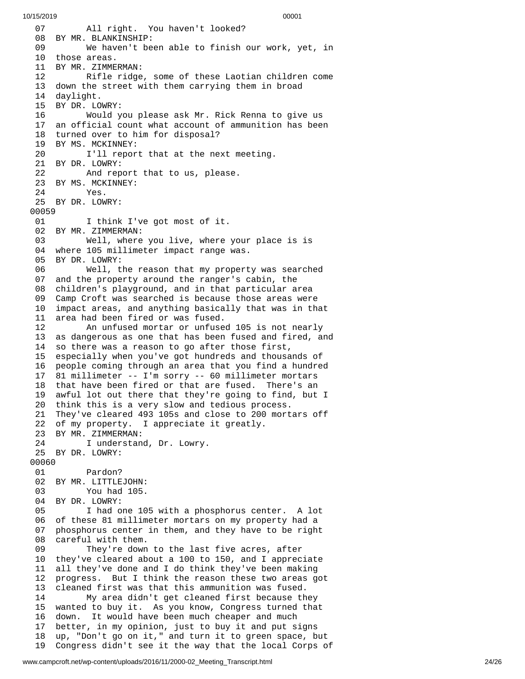0 7 All right. You haven't looked? 08 BY MR. BLANKINSHIP: 09 We haven't been able to finish our work, yet, in 10 those areas. 11 BY MR. ZIMME R M A N: 12 Rifle ridge, some of these Laotian children come 13 down the street with them carrying them in broad 14 daylight. 15 BY DR. LO W R Y: 16 Would you please ask Mr. Rick Renna to give us 17 an official count what account of ammunition has been 18 turned over to him for disposal? 19 BY MS. MCKINNEY: 20 I'll report that at the next meeting. 21 BY DR. LOWRY: 22 And report that to us, please. 23 BY MS. MCKINNEY: 24 Yes. 25 BY DR. LOWRY: 00059 01 I think I've got most of it. 02 BY MR. ZIMMERMAN: 03 Well, where you live, where your plac e i s i s 04 where 105 millimeter impact range was. 05 BY DR. LOWRY: 06 Well, the reason that my propert y w a s s e a r c h e d 0 7 and the property around the ranger's cabin, the 08 children's playground, and in that particular area 09 Camp Croft was searched is because those areas were 10 impact areas, and anything basically that was in that 11 area had been fired or was fused. 12 An unfused mortar or unfused 105 is not nearly 13 as dangerous as one that has been fused and fired, and 14 so there was a reason to go after those first, 1 5 especially when you've got hundreds and thousands of 1 6 people coming through an area that you find a hundred 1 7 81 millimeter -- I'm sorry -- 60 millimeter mortars 18 that have been fired or that are fused. There's an 1 9 awful lot out there that they're going to find, but I 20 think this is a very slow and tedious process. 21 They've cleared 493 105s and close to 200 mortars off 22 of my property. I appreciate it greatly. 23 BY MR. ZIMMERMAN: 24 I understand, Dr. Lowry. 25 BY DR. LOWRY: 00060 01 Pardon? 02 BY MR. LITTLEJOHN: 03 You had 105. 04 BY DR. LOWRY: 05 I had one 105 with a phosphorus center. A lot 06 of these 81 millimeter mortars on my property had a 0 7 phosphorus center in them, and they have to be right 0 8 careful with them. 09 They're down to the last five acres, after 1 0 they've cleared about a 100 to 150, and I appreciate 1 1 all they've done and I do think they've been making 1 2 progress. But I think the reason these two areas got 1 3 cleaned first was that this ammunition was fused. 14 My area didn't get cleaned first because th e y 15 wanted to buy it. As you know, Congress turned that 16 down. It would have been much cheaper and much 1 7 better, in my opinion, just to buy it and put signs 1 8 up, "Don't go on it," and turn it to green space, but 1 9 Congress didn't see it the way that the local Corps of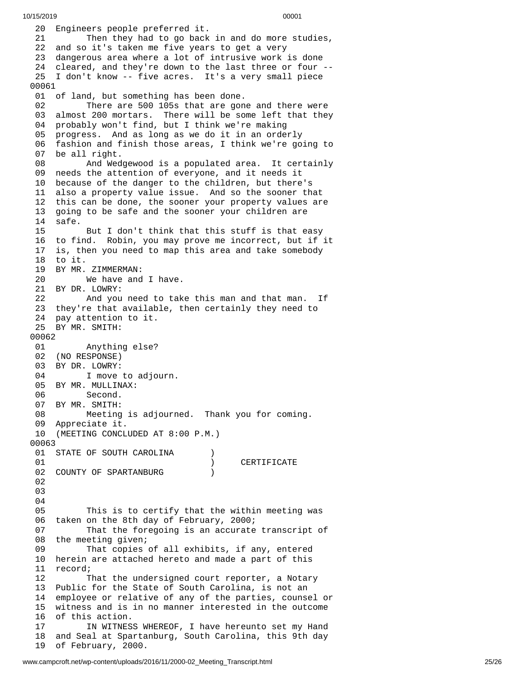20 Engineers people preferred it. 21 Then they had to go back in and do more studies, 22 and so it's taken me five years to get a very 23 dangerous area where a lot of intrusive work is done 24 cleared, and they're down to the last three or four --25 I don't know -- five acres. It's a very small piece 00061 01 of land, but something has been done. 02 There are 500 105s that are gone and there were 03 almost 200 mortars. There will be some left that they 04 probably won't find, but I think we're making 05 progress. And as long as we do it in an orderly 06 fashion and finish those areas, I think we're going to 07 be all right. 08 And Wed g e w o o d i s a p o p u l a t e d a r e a. I t c e r t a i n l y 09 needs the attention of everyone, and it needs it 10 because of the danger to the children, but there's 11 also a property value issue. And so the sooner that 12 this can be done, the sooner your property values are 1 3 going to be safe and the sooner your children are 1 4 s a f e. 15 But I don't think that this stuff is that easy 16 to find. Robin, you may prove me incorrect, but if it 1 7 is, then you need to map this area and take somebody 18 to it. 19 BY MR. ZIMMERMAN: 20 We have and I h a v e. 21 BY DR. LOWRY: 22 And you need to tak e t h i s m a n a n d t h a t m a n. I f 23 they're that available, then certainly they need to 24 pay attention to it. 25 BY MR. SMITH: 00062 01 Anything else? 02 (NO RESPONSE) 03 BY DR. LOWRY: 04 I move to adjourn. 05 BY MR. MULLINAX: 06 Second. 07 BY MR. SMITH: 08 Meeting is adjourn e d. T h a n k y o u f o r c o m i n g. 09 Appreciate it. 10 (MEETING CONCLUDED AT 8:00 P.M.) 0 0 0 6 3 01 STATE OF SOUTH CAROLINA ) 0 1 ) CERTIFICATE 02 COUNTY OF SPARTANBURG ) 0 2 0 3 0 4 0 5 This is to certify that the within meeting was 06 taken on the 8th day of February, 2000; 0 7 That the foregoing is an accurate transcript of 0 8 the meeting given; 0 9 That copies of all exhibits, if any, entered 10 herein are attached hereto and made a part of this 11 record; 1 2 That the undersigned court reporter, a Notary 1 3 Public for the State of South Carolina, is not an 1 4 employee or relative of any of the parties, counsel or 15 witness and is in no manner interested in the outcome 16 of this action. 17 IN WITNESS WHEREOF, I have hereunto set my Hand 1 8 and Seal at Spartanburg, South Carolina, this 9th day 19 of February, 2000.